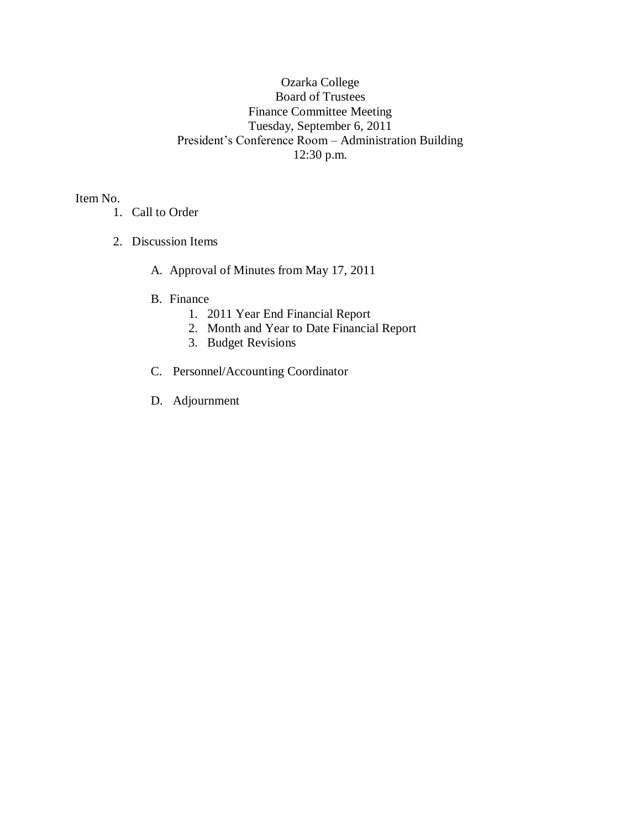# Ozarka College Board of Trustees Finance Committee Meeting Tuesday, September 6, 2011 President's Conference Room – Administration Building 12:30 p.m.

Item No.

- 1. Call to Order
- 2. Discussion Items
	- A. Approval of Minutes from May 17, 2011
	- B. Finance
		- 1. 2011 Year End Financial Report
		- 2. Month and Year to Date Financial Report
		- 3. Budget Revisions
	- C. Personnel/Accounting Coordinator
	- D. Adjournment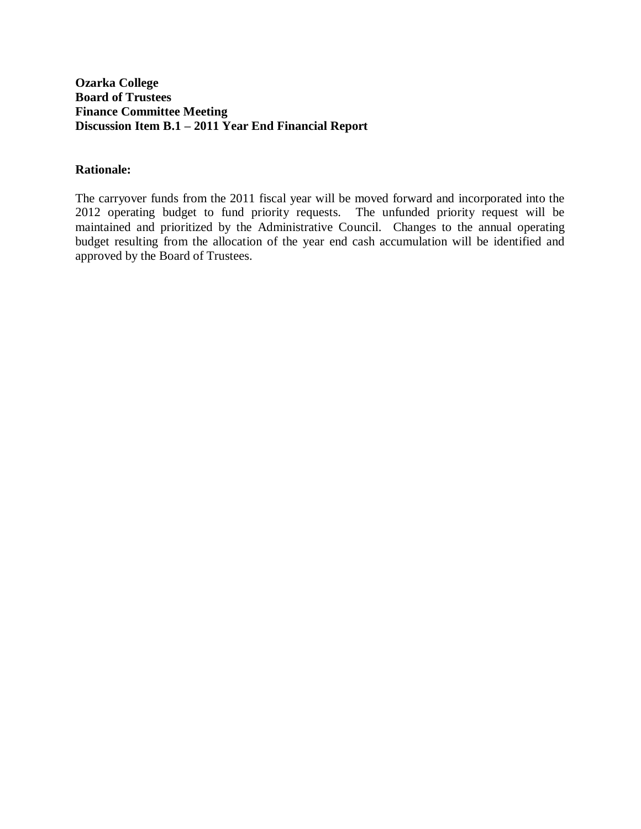## **Ozarka College Board of Trustees Finance Committee Meeting Discussion Item B.1 – 2011 Year End Financial Report**

### **Rationale:**

The carryover funds from the 2011 fiscal year will be moved forward and incorporated into the 2012 operating budget to fund priority requests. The unfunded priority request will be maintained and prioritized by the Administrative Council. Changes to the annual operating budget resulting from the allocation of the year end cash accumulation will be identified and approved by the Board of Trustees.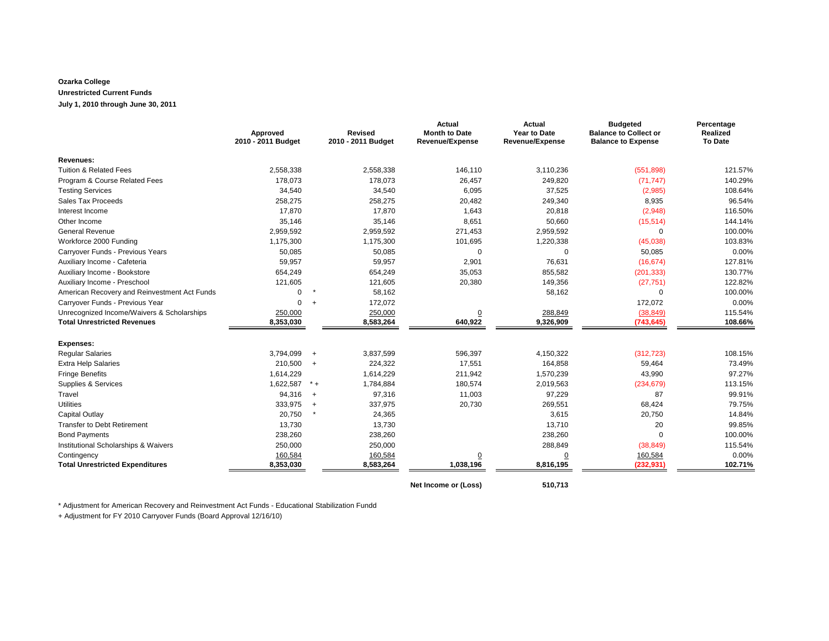#### **Ozarka College Unrestricted Current Funds July 1, 2010 through June 30, 2011**

|                                              | Approved<br>2010 - 2011 Budget |         | <b>Revised</b><br>2010 - 2011 Budget | <b>Actual</b><br><b>Month to Date</b><br><b>Revenue/Expense</b> | Actual<br><b>Year to Date</b><br><b>Revenue/Expense</b> | <b>Budgeted</b><br><b>Balance to Collect or</b><br><b>Balance to Expense</b> | Percentage<br><b>Realized</b><br><b>To Date</b> |
|----------------------------------------------|--------------------------------|---------|--------------------------------------|-----------------------------------------------------------------|---------------------------------------------------------|------------------------------------------------------------------------------|-------------------------------------------------|
| Revenues:                                    |                                |         |                                      |                                                                 |                                                         |                                                                              |                                                 |
| Tuition & Related Fees                       | 2,558,338                      |         | 2,558,338                            | 146,110                                                         | 3,110,236                                               | (551, 898)                                                                   | 121.57%                                         |
| Program & Course Related Fees                | 178,073                        |         | 178,073                              | 26,457                                                          | 249,820                                                 | (71, 747)                                                                    | 140.29%                                         |
| <b>Testing Services</b>                      | 34,540                         |         | 34,540                               | 6,095                                                           | 37,525                                                  | (2,985)                                                                      | 108.64%                                         |
| Sales Tax Proceeds                           | 258,275                        |         | 258,275                              | 20,482                                                          | 249,340                                                 | 8,935                                                                        | 96.54%                                          |
| Interest Income                              | 17,870                         |         | 17,870                               | 1,643                                                           | 20,818                                                  | (2,948)                                                                      | 116.50%                                         |
| Other Income                                 | 35,146                         |         | 35,146                               | 8,651                                                           | 50,660                                                  | (15, 514)                                                                    | 144.14%                                         |
| <b>General Revenue</b>                       | 2,959,592                      |         | 2,959,592                            | 271,453                                                         | 2,959,592                                               | $\Omega$                                                                     | 100.00%                                         |
| Workforce 2000 Funding                       | 1,175,300                      |         | 1,175,300                            | 101,695                                                         | 1,220,338                                               | (45,038)                                                                     | 103.83%                                         |
| Carryover Funds - Previous Years             | 50,085                         |         | 50,085                               | $\mathbf 0$                                                     | $\mathbf 0$                                             | 50,085                                                                       | 0.00%                                           |
| Auxiliary Income - Cafeteria                 | 59,957                         |         | 59,957                               | 2,901                                                           | 76,631                                                  | (16, 674)                                                                    | 127.81%                                         |
| Auxiliary Income - Bookstore                 | 654,249                        |         | 654,249                              | 35,053                                                          | 855,582                                                 | (201, 333)                                                                   | 130.77%                                         |
| Auxiliary Income - Preschool                 | 121,605                        |         | 121,605                              | 20,380                                                          | 149,356                                                 | (27, 751)                                                                    | 122.82%                                         |
| American Recovery and Reinvestment Act Funds | $\Omega$                       | $\star$ | 58,162                               |                                                                 | 58,162                                                  | $\Omega$                                                                     | 100.00%                                         |
| Carryover Funds - Previous Year              | 0                              | $+$     | 172,072                              |                                                                 |                                                         | 172,072                                                                      | 0.00%                                           |
| Unrecognized Income/Waivers & Scholarships   | 250,000                        |         | 250,000                              | $\underline{0}$                                                 | 288,849                                                 | (38, 849)                                                                    | 115.54%                                         |
| <b>Total Unrestricted Revenues</b>           | 8,353,030                      |         | 8,583,264                            | 640,922                                                         | 9,326,909                                               | (743, 645)                                                                   | 108.66%                                         |
| <b>Expenses:</b>                             |                                |         |                                      |                                                                 |                                                         |                                                                              |                                                 |
| <b>Regular Salaries</b>                      | 3,794,099                      | $+$     | 3,837,599                            | 596,397                                                         | 4,150,322                                               | (312, 723)                                                                   | 108.15%                                         |
| <b>Extra Help Salaries</b>                   | 210,500                        | $+$     | 224,322                              | 17,551                                                          | 164,858                                                 | 59,464                                                                       | 73.49%                                          |
| <b>Fringe Benefits</b>                       | 1,614,229                      |         | 1,614,229                            | 211,942                                                         | 1,570,239                                               | 43,990                                                                       | 97.27%                                          |
| Supplies & Services                          | 1,622,587                      | $* +$   | 1,784,884                            | 180,574                                                         | 2,019,563                                               | (234, 679)                                                                   | 113.15%                                         |
| Travel                                       | 94,316                         | $+$     | 97,316                               | 11,003                                                          | 97,229                                                  | 87                                                                           | 99.91%                                          |
| <b>Utilities</b>                             | 333,975                        | $+$     | 337,975                              | 20,730                                                          | 269,551                                                 | 68,424                                                                       | 79.75%                                          |
| Capital Outlay                               | 20,750                         |         | 24,365                               |                                                                 | 3,615                                                   | 20,750                                                                       | 14.84%                                          |
| <b>Transfer to Debt Retirement</b>           | 13,730                         |         | 13,730                               |                                                                 | 13,710                                                  | 20                                                                           | 99.85%                                          |
| <b>Bond Payments</b>                         | 238,260                        |         | 238,260                              |                                                                 | 238,260                                                 | 0                                                                            | 100.00%                                         |
| Institutional Scholarships & Waivers         | 250,000                        |         | 250,000                              |                                                                 | 288,849                                                 | (38, 849)                                                                    | 115.54%                                         |
| Contingency                                  | 160,584                        |         | 160,584                              | $\overline{0}$                                                  | $\underline{0}$                                         | 160,584                                                                      | 0.00%                                           |
| <b>Total Unrestricted Expenditures</b>       | 8,353,030                      |         | 8,583,264                            | 1,038,196                                                       | 8,816,195                                               | (232, 931)                                                                   | 102.71%                                         |

**Net Income or (Loss) 510,713**

\* Adjustment for American Recovery and Reinvestment Act Funds - Educational Stabilization Fundd

+ Adjustment for FY 2010 Carryover Funds (Board Approval 12/16/10)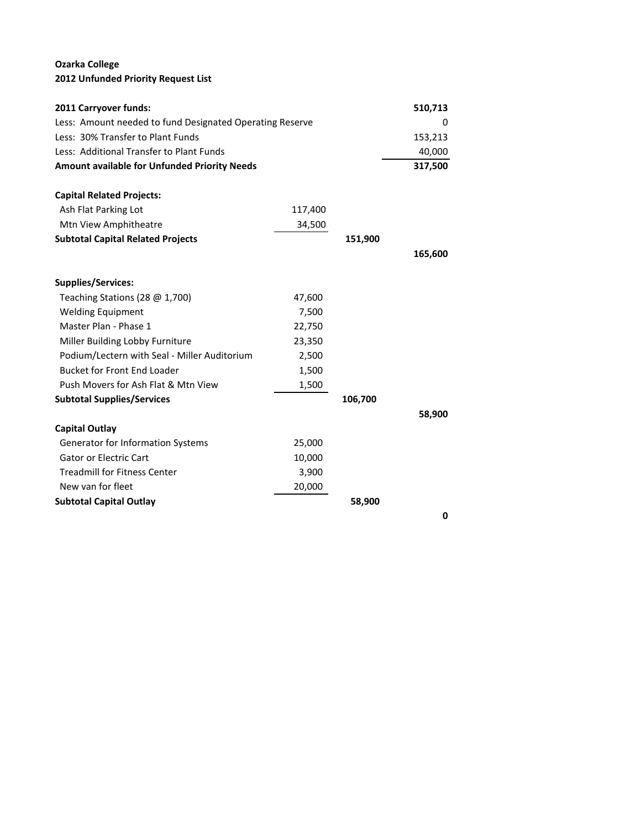## **Ozarka College 2012 Unfunded Priority Request List**

| 2011 Carryover funds:                                    | 510,713 |         |         |
|----------------------------------------------------------|---------|---------|---------|
| Less: Amount needed to fund Designated Operating Reserve | 0       |         |         |
| Less: 30% Transfer to Plant Funds                        |         | 153,213 |         |
| Less: Additional Transfer to Plant Funds                 |         |         | 40,000  |
| Amount available for Unfunded Priority Needs             |         |         | 317,500 |
| <b>Capital Related Projects:</b>                         |         |         |         |
| Ash Flat Parking Lot                                     | 117,400 |         |         |
| Mtn View Amphitheatre                                    | 34,500  |         |         |
| <b>Subtotal Capital Related Projects</b>                 |         | 151,900 |         |
|                                                          |         |         | 165,600 |
| <b>Supplies/Services:</b>                                |         |         |         |
| Teaching Stations (28 @ 1,700)                           | 47,600  |         |         |
| <b>Welding Equipment</b>                                 | 7,500   |         |         |
| Master Plan - Phase 1                                    | 22,750  |         |         |
| Miller Building Lobby Furniture                          | 23,350  |         |         |
| Podium/Lectern with Seal - Miller Auditorium             | 2,500   |         |         |
| <b>Bucket for Front End Loader</b>                       | 1,500   |         |         |
| Push Movers for Ash Flat & Mtn View                      | 1,500   |         |         |
| <b>Subtotal Supplies/Services</b>                        |         | 106,700 |         |
|                                                          |         |         | 58,900  |
| <b>Capital Outlay</b>                                    |         |         |         |
| Generator for Information Systems                        | 25,000  |         |         |
| <b>Gator or Electric Cart</b>                            | 10,000  |         |         |
| <b>Treadmill for Fitness Center</b>                      | 3,900   |         |         |
| New van for fleet                                        | 20,000  |         |         |
| <b>Subtotal Capital Outlay</b>                           |         | 58,900  |         |
|                                                          |         |         | 0       |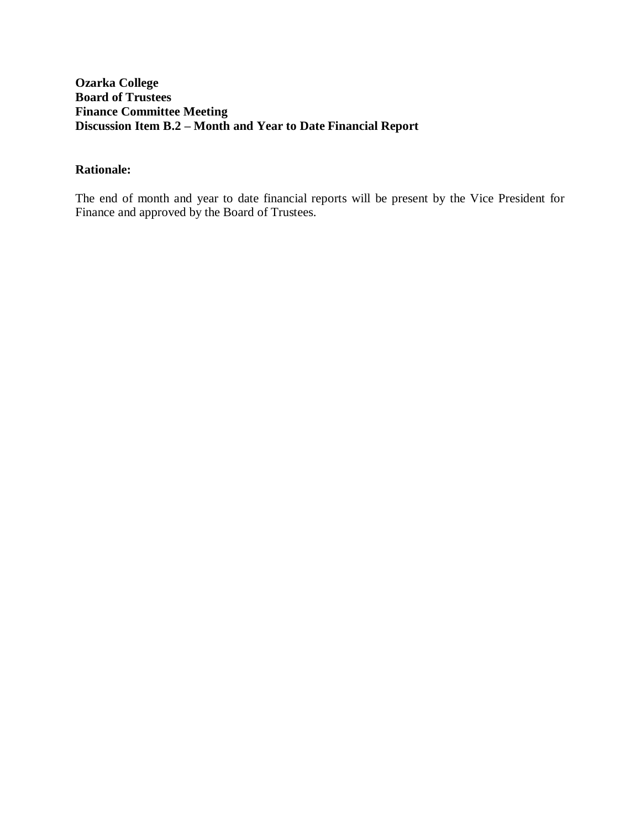# **Ozarka College Board of Trustees Finance Committee Meeting Discussion Item B.2 – Month and Year to Date Financial Report**

# **Rationale:**

The end of month and year to date financial reports will be present by the Vice President for Finance and approved by the Board of Trustees.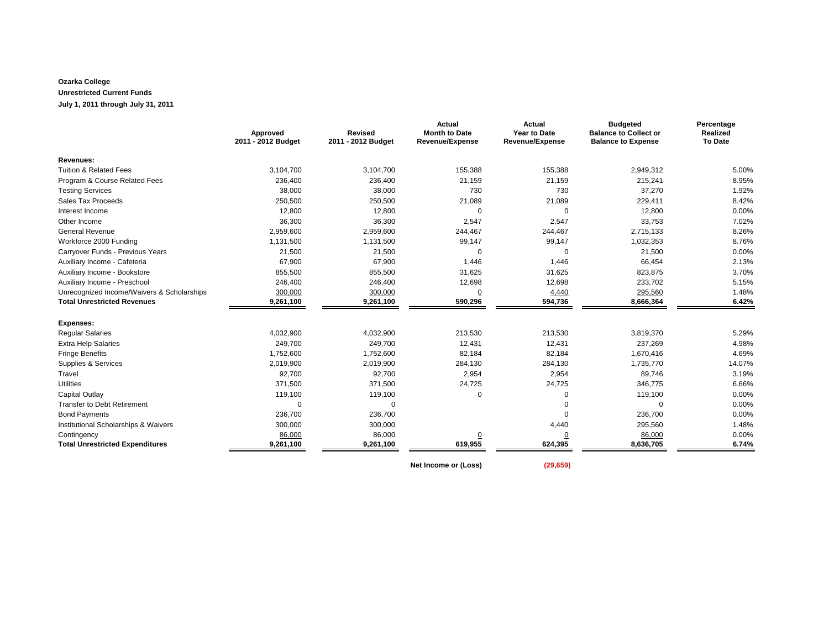#### **Ozarka College Unrestricted Current Funds July 1, 2011 through July 31, 2011**

|                                            | Approved<br>2011 - 2012 Budget | <b>Revised</b><br>2011 - 2012 Budget | <b>Actual</b><br><b>Month to Date</b><br>Revenue/Expense | <b>Actual</b><br><b>Year to Date</b><br>Revenue/Expense | <b>Budgeted</b><br><b>Balance to Collect or</b><br><b>Balance to Expense</b> | Percentage<br>Realized<br><b>To Date</b> |
|--------------------------------------------|--------------------------------|--------------------------------------|----------------------------------------------------------|---------------------------------------------------------|------------------------------------------------------------------------------|------------------------------------------|
| Revenues:                                  |                                |                                      |                                                          |                                                         |                                                                              |                                          |
| <b>Tuition &amp; Related Fees</b>          | 3,104,700                      | 3,104,700                            | 155,388                                                  | 155,388                                                 | 2,949,312                                                                    | 5.00%                                    |
| Program & Course Related Fees              | 236,400                        | 236,400                              | 21,159                                                   | 21,159                                                  | 215,241                                                                      | 8.95%                                    |
| <b>Testing Services</b>                    | 38,000                         | 38,000                               | 730                                                      | 730                                                     | 37,270                                                                       | 1.92%                                    |
| Sales Tax Proceeds                         | 250,500                        | 250,500                              | 21,089                                                   | 21,089                                                  | 229,411                                                                      | 8.42%                                    |
| Interest Income                            | 12,800                         | 12,800                               | $\mathbf 0$                                              | $\mathbf 0$                                             | 12,800                                                                       | 0.00%                                    |
| Other Income                               | 36,300                         | 36,300                               | 2,547                                                    | 2,547                                                   | 33,753                                                                       | 7.02%                                    |
| <b>General Revenue</b>                     | 2,959,600                      | 2,959,600                            | 244,467                                                  | 244,467                                                 | 2,715,133                                                                    | 8.26%                                    |
| Workforce 2000 Funding                     | 1,131,500                      | 1,131,500                            | 99,147                                                   | 99,147                                                  | 1,032,353                                                                    | 8.76%                                    |
| Carryover Funds - Previous Years           | 21,500                         | 21,500                               | $\mathbf 0$                                              | $\mathbf 0$                                             | 21,500                                                                       | 0.00%                                    |
| Auxiliary Income - Cafeteria               | 67,900                         | 67,900                               | 1,446                                                    | 1,446                                                   | 66,454                                                                       | 2.13%                                    |
| Auxiliary Income - Bookstore               | 855,500                        | 855,500                              | 31,625                                                   | 31,625                                                  | 823,875                                                                      | 3.70%                                    |
| Auxiliary Income - Preschool               | 246,400                        | 246,400                              | 12,698                                                   | 12,698                                                  | 233,702                                                                      | 5.15%                                    |
| Unrecognized Income/Waivers & Scholarships | 300,000                        | 300,000                              | $\overline{0}$                                           | 4,440                                                   | 295,560                                                                      | 1.48%                                    |
| <b>Total Unrestricted Revenues</b>         | 9,261,100                      | 9,261,100                            | 590,296                                                  | 594,736                                                 | 8,666,364                                                                    | 6.42%                                    |
| <b>Expenses:</b>                           |                                |                                      |                                                          |                                                         |                                                                              |                                          |
| <b>Regular Salaries</b>                    | 4,032,900                      | 4,032,900                            | 213,530                                                  | 213,530                                                 | 3,819,370                                                                    | 5.29%                                    |
| <b>Extra Help Salaries</b>                 | 249,700                        | 249,700                              | 12,431                                                   | 12,431                                                  | 237,269                                                                      | 4.98%                                    |
| <b>Fringe Benefits</b>                     | 1,752,600                      | 1,752,600                            | 82,184                                                   | 82,184                                                  | 1,670,416                                                                    | 4.69%                                    |
| Supplies & Services                        | 2,019,900                      | 2,019,900                            | 284,130                                                  | 284,130                                                 | 1,735,770                                                                    | 14.07%                                   |
| Travel                                     | 92,700                         | 92,700                               | 2,954                                                    | 2,954                                                   | 89,746                                                                       | 3.19%                                    |
| <b>Utilities</b>                           | 371,500                        | 371,500                              | 24,725                                                   | 24,725                                                  | 346,775                                                                      | 6.66%                                    |
| Capital Outlay                             | 119,100                        | 119,100                              | $\mathbf 0$                                              | 0                                                       | 119,100                                                                      | 0.00%                                    |
| <b>Transfer to Debt Retirement</b>         | $\Omega$                       | $\Omega$                             |                                                          | 0                                                       | $\mathbf 0$                                                                  | 0.00%                                    |
| <b>Bond Payments</b>                       | 236,700                        | 236,700                              |                                                          | $\mathbf 0$                                             | 236,700                                                                      | 0.00%                                    |
| Institutional Scholarships & Waivers       | 300,000                        | 300,000                              |                                                          | 4,440                                                   | 295,560                                                                      | 1.48%                                    |
| Contingency                                | 86,000                         | 86,000                               | $\overline{0}$                                           | $\overline{0}$                                          | 86,000                                                                       | 0.00%                                    |
| <b>Total Unrestricted Expenditures</b>     | 9,261,100                      | 9,261,100                            | 619,955                                                  | 624,395                                                 | 8,636,705                                                                    | 6.74%                                    |

**Net Income or (Loss) (29,659)**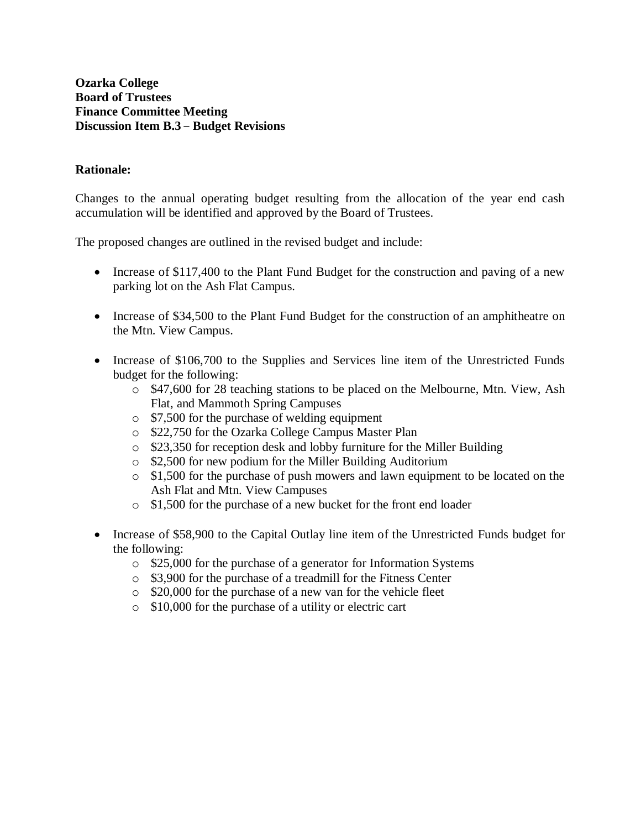## **Rationale:**

Changes to the annual operating budget resulting from the allocation of the year end cash accumulation will be identified and approved by the Board of Trustees.

The proposed changes are outlined in the revised budget and include:

- Increase of \$117,400 to the Plant Fund Budget for the construction and paving of a new parking lot on the Ash Flat Campus.
- Increase of \$34,500 to the Plant Fund Budget for the construction of an amphitheatre on the Mtn. View Campus.
- Increase of \$106,700 to the Supplies and Services line item of the Unrestricted Funds budget for the following:
	- $\circ$  \$47,600 for 28 teaching stations to be placed on the Melbourne, Mtn. View, Ash Flat, and Mammoth Spring Campuses
	- o \$7,500 for the purchase of welding equipment
	- o \$22,750 for the Ozarka College Campus Master Plan
	- o \$23,350 for reception desk and lobby furniture for the Miller Building
	- o \$2,500 for new podium for the Miller Building Auditorium
	- o \$1,500 for the purchase of push mowers and lawn equipment to be located on the Ash Flat and Mtn. View Campuses
	- o \$1,500 for the purchase of a new bucket for the front end loader
- Increase of \$58,900 to the Capital Outlay line item of the Unrestricted Funds budget for the following:
	- o \$25,000 for the purchase of a generator for Information Systems
	- o \$3,900 for the purchase of a treadmill for the Fitness Center
	- o \$20,000 for the purchase of a new van for the vehicle fleet
	- o \$10,000 for the purchase of a utility or electric cart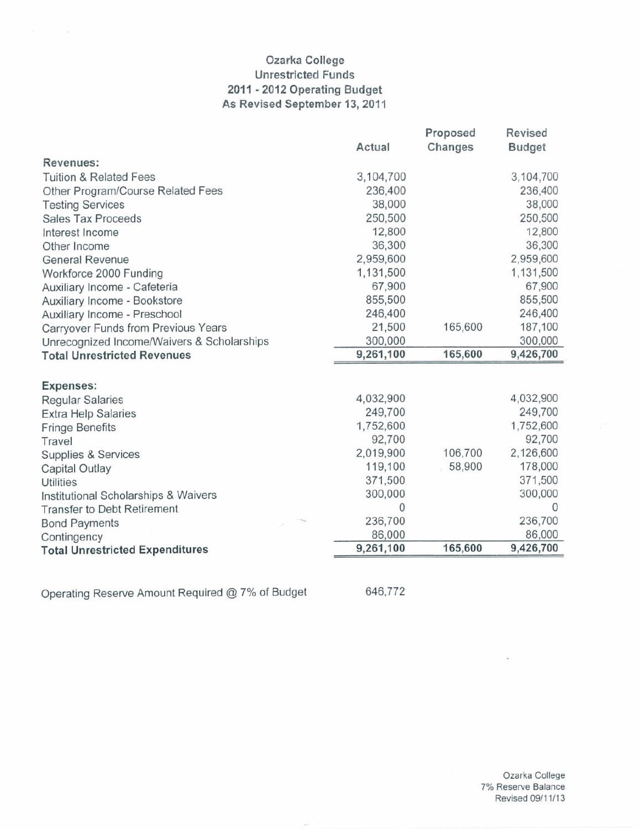# Ozarka College **Unrestricted Funds** 2011 - 2012 Operating Budget As Revised September 13, 2011

|                                            | Actual    | Proposed<br>Changes | Revised<br><b>Budget</b> |
|--------------------------------------------|-----------|---------------------|--------------------------|
| Revenues:                                  |           |                     |                          |
| <b>Tuition &amp; Related Fees</b>          | 3,104,700 |                     | 3,104,700                |
|                                            | 236,400   |                     | 236,400                  |
| Other Program/Course Related Fees          |           |                     |                          |
| <b>Testing Services</b>                    | 38,000    |                     | 38,000                   |
| <b>Sales Tax Proceeds</b>                  | 250,500   |                     | 250,500                  |
| Interest Income                            | 12,800    |                     | 12,800                   |
| Other Income                               | 36,300    |                     | 36,300                   |
| <b>General Revenue</b>                     | 2,959,600 |                     | 2,959,600                |
| Workforce 2000 Funding                     | 1,131,500 |                     | 1,131,500                |
| Auxiliary Income - Cafeteria               | 67,900    |                     | 67,900                   |
| Auxiliary Income - Bookstore               | 855,500   |                     | 855,500                  |
| Auxiliary Income - Preschool               | 246,400   |                     | 246,400                  |
| Carryover Funds from Previous Years        | 21,500    | 165,600             | 187,100                  |
| Unrecognized Income/Waivers & Scholarships | 300,000   |                     | 300,000                  |
| <b>Total Unrestricted Revenues</b>         | 9,261,100 | 165,600             | 9,426,700                |
| Expenses:                                  |           |                     |                          |
| <b>Regular Salaries</b>                    | 4,032,900 |                     | 4,032,900                |
| <b>Extra Help Salaries</b>                 | 249,700   |                     | 249,700                  |
| <b>Fringe Benefits</b>                     | 1,752,600 |                     | 1,752,600                |
| Travel                                     | 92,700    |                     | 92,700                   |
| Supplies & Services                        | 2,019,900 | 106,700             | 2,126,600                |
| Capital Outlay                             | 119,100   | 58,900              | 178,000                  |
| <b>Utilities</b>                           | 371,500   |                     | 371,500                  |
| Institutional Scholarships & Waivers       | 300,000   |                     | 300,000                  |
| <b>Transfer to Debt Retirement</b>         | 0         |                     | 0                        |
| <b>Bond Payments</b>                       | 236,700   |                     | 236,700                  |
| Contingency                                | 86,000    |                     | 86,000                   |
| <b>Total Unrestricted Expenditures</b>     | 9,261,100 | 165,600             | 9,426,700                |
|                                            |           |                     |                          |

Operating Reserve Amount Required @ 7% of Budget

646,772

Ozarka College 7% Reserve Balance Revised 09/11/13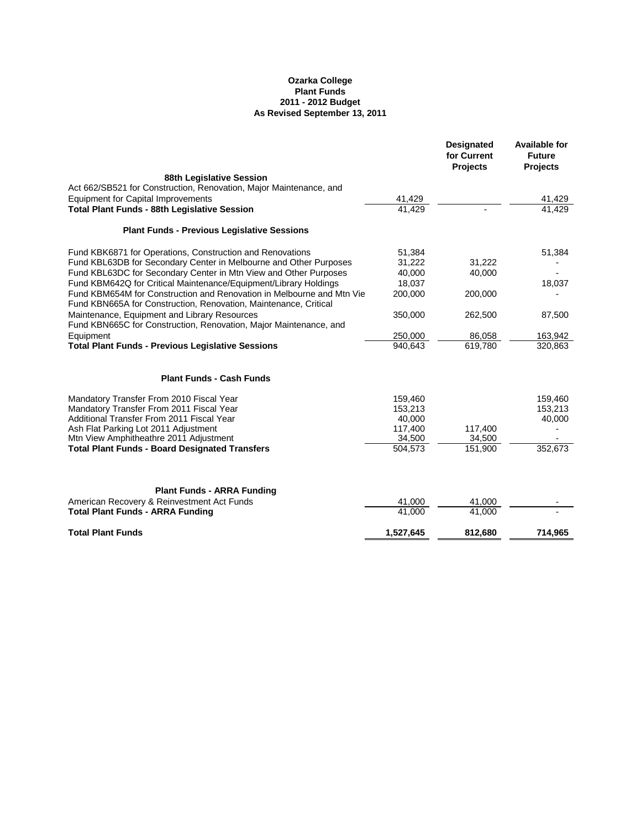# **Ozarka College Plant Funds 2011 - 2012 Budget As Revised September 13, 2011**

|                                                                                                                                           |           | <b>Designated</b><br>for Current<br><b>Projects</b> | <b>Available for</b><br><b>Future</b><br><b>Projects</b> |
|-------------------------------------------------------------------------------------------------------------------------------------------|-----------|-----------------------------------------------------|----------------------------------------------------------|
| <b>88th Legislative Session</b>                                                                                                           |           |                                                     |                                                          |
| Act 662/SB521 for Construction, Renovation, Major Maintenance, and                                                                        |           |                                                     |                                                          |
| <b>Equipment for Capital Improvements</b>                                                                                                 | 41,429    |                                                     | 41,429                                                   |
| <b>Total Plant Funds - 88th Legislative Session</b>                                                                                       | 41,429    |                                                     | 41,429                                                   |
| <b>Plant Funds - Previous Legislative Sessions</b>                                                                                        |           |                                                     |                                                          |
| Fund KBK6871 for Operations, Construction and Renovations                                                                                 | 51,384    |                                                     | 51,384                                                   |
| Fund KBL63DB for Secondary Center in Melbourne and Other Purposes                                                                         | 31,222    | 31,222                                              |                                                          |
| Fund KBL63DC for Secondary Center in Mtn View and Other Purposes                                                                          | 40,000    | 40,000                                              |                                                          |
| Fund KBM642Q for Critical Maintenance/Equipment/Library Holdings                                                                          | 18,037    |                                                     | 18,037                                                   |
| Fund KBM654M for Construction and Renovation in Melbourne and Mtn Vie<br>Fund KBN665A for Construction, Renovation, Maintenance, Critical | 200,000   | 200,000                                             |                                                          |
| Maintenance, Equipment and Library Resources                                                                                              | 350,000   | 262,500                                             | 87,500                                                   |
| Fund KBN665C for Construction, Renovation, Major Maintenance, and                                                                         |           |                                                     |                                                          |
| Equipment                                                                                                                                 | 250,000   | 86,058                                              | 163,942                                                  |
| <b>Total Plant Funds - Previous Legislative Sessions</b>                                                                                  | 940,643   | 619,780                                             | 320,863                                                  |
| <b>Plant Funds - Cash Funds</b>                                                                                                           |           |                                                     |                                                          |
| Mandatory Transfer From 2010 Fiscal Year                                                                                                  | 159,460   |                                                     | 159,460                                                  |
| Mandatory Transfer From 2011 Fiscal Year                                                                                                  | 153,213   |                                                     | 153,213                                                  |
| <b>Additional Transfer From 2011 Fiscal Year</b>                                                                                          | 40,000    |                                                     | 40,000                                                   |
| Ash Flat Parking Lot 2011 Adjustment                                                                                                      | 117,400   | 117,400                                             |                                                          |
| Mtn View Amphitheathre 2011 Adjustment                                                                                                    | 34,500    | 34,500                                              |                                                          |
| <b>Total Plant Funds - Board Designated Transfers</b>                                                                                     | 504,573   | 151,900                                             | 352,673                                                  |
| <b>Plant Funds - ARRA Funding</b>                                                                                                         |           |                                                     |                                                          |
| American Recovery & Reinvestment Act Funds                                                                                                | 41,000    | 41,000                                              |                                                          |
| <b>Total Plant Funds - ARRA Funding</b>                                                                                                   | 41,000    | 41,000                                              |                                                          |
| <b>Total Plant Funds</b>                                                                                                                  | 1,527,645 | 812,680                                             | 714,965                                                  |